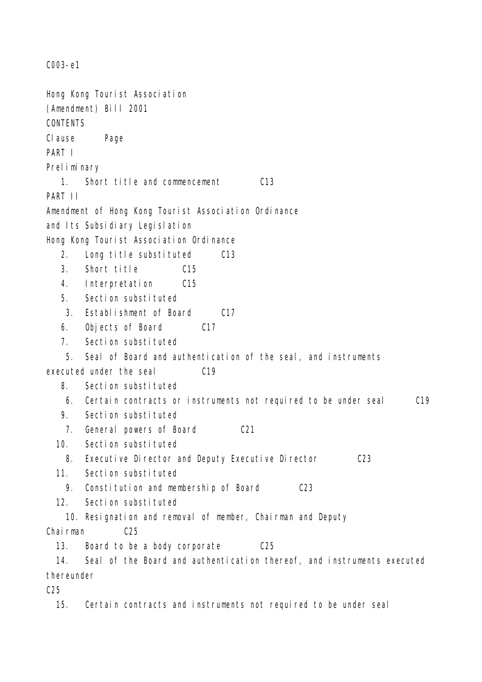C003-e1 Hong Kong Tourist Association (Amendment) Bill 2001 **CONTENTS** Clause Page PART I Preliminary 1. Short title and commencement C13 PART II Amendment of Hong Kong Tourist Association Ordinance and Its Subsidiary Legislation Hong Kong Tourist Association Ordinance 2. Long title substituted C13 3. Short title C15 4. Interpretation C15 5. Section substituted 3. Establishment of Board C17 6. Objects of Board C17 7. Section substituted 5. Seal of Board and authentication of the seal, and instruments executed under the seal C19 8. Section substituted 6. Certain contracts or instruments not required to be under seal C19 9. Section substituted 7. General powers of Board C21 10. Section substituted 8. Executive Director and Deputy Executive Director C23 11. Section substituted 9. Constitution and membership of Board C23 12. Section substituted 10. Resignation and removal of member, Chairman and Deputy Chairman C25 13. Board to be a body corporate C25 14. Seal of the Board and authentication thereof, and instruments executed thereunder  $C<sub>25</sub>$ 15. Certain contracts and instruments not required to be under seal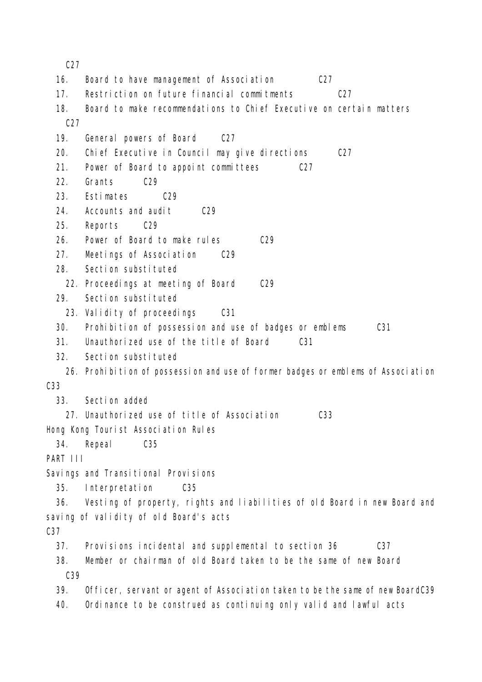C27

| 16.             | Board to have management of Association<br>C27                                   |
|-----------------|----------------------------------------------------------------------------------|
| 17.             | Restriction on future financial commitments<br>C27                               |
| 18.             | Board to make recommendations to Chief Executive on certain matters              |
| C27             |                                                                                  |
| 19.             | General powers of Board<br>C27                                                   |
| 20.             | Chief Executive in Council may give directions<br>C27                            |
| 21.             | Power of Board to appoint committees<br>C27                                      |
| 22.             | Grants<br>C29                                                                    |
| 23.             | Estimates<br>C29                                                                 |
| 24.             | Accounts and audit<br>C29                                                        |
| 25.             | Reports<br>C29                                                                   |
| 26.             | Power of Board to make rules<br>C29                                              |
| 27.             | Meetings of Association<br>C29                                                   |
| 28.             | Section substituted                                                              |
|                 | 22. Proceedings at meeting of Board<br>C29                                       |
| 29.             | Section substituted                                                              |
|                 | 23. Validity of proceedings<br>C <sub>31</sub>                                   |
| 30.             | Prohibition of possession and use of badges or emblems<br>C31                    |
| 31.             | Unauthorized use of the title of Board<br>C <sub>31</sub>                        |
| 32.             | Section substituted                                                              |
|                 | 26. Prohibition of possession and use of former badges or emblems of Association |
| C <sub>33</sub> |                                                                                  |
| 33.             | Section added                                                                    |
|                 | 27. Unauthorized use of title of Association<br>C <sub>33</sub>                  |
|                 | Hong Kong Tourist Association Rules                                              |
| 34.             | Repeal<br>C <sub>35</sub>                                                        |
| PART III        |                                                                                  |
|                 | Savings and Transitional Provisions                                              |
| 35.             | Interpretation<br>C <sub>35</sub>                                                |
| 36.             | Vesting of property, rights and liabilities of old Board in new Board and        |
|                 | saving of validity of old Board's acts                                           |
| C <sub>37</sub> |                                                                                  |
| 37.             | Provisions incidental and supplemental to section 36<br>C37                      |
| 38.             | Member or chairman of old Board taken to be the same of new Board                |
| C39             |                                                                                  |
| 39.             | Officer, servant or agent of Association taken to be the same of new BoardC39    |
| 40.             | Ordinance to be construed as continuing only valid and lawful acts               |
|                 |                                                                                  |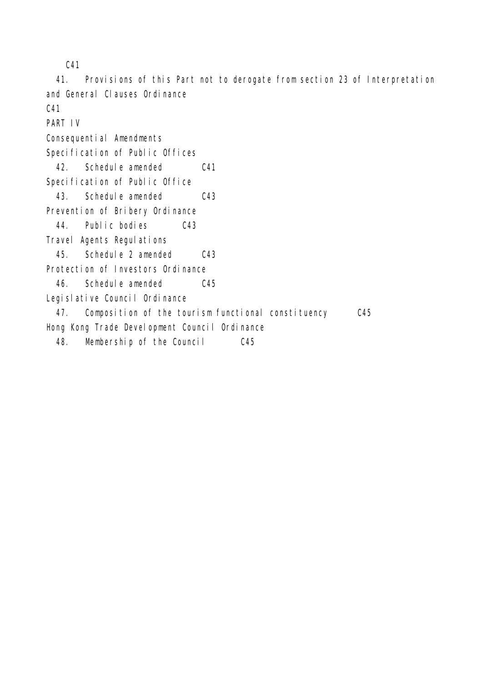C41

 41. Provisions of this Part not to derogate from section 23 of Interpretation and General Clauses Ordinance

C41

PART IV

Consequential Amendments

Specification of Public Offices

42. Schedule amended C41

Specification of Public Office

43. Schedule amended C43

Prevention of Bribery Ordinance

44. Public bodies C43

Travel Agents Regulations

45. Schedule 2 amended C43

Protection of Investors Ordinance

46. Schedule amended C45

Legislative Council Ordinance

47. Composition of the tourism functional constituency C45

Hong Kong Trade Development Council Ordinance

48. Membership of the Council C45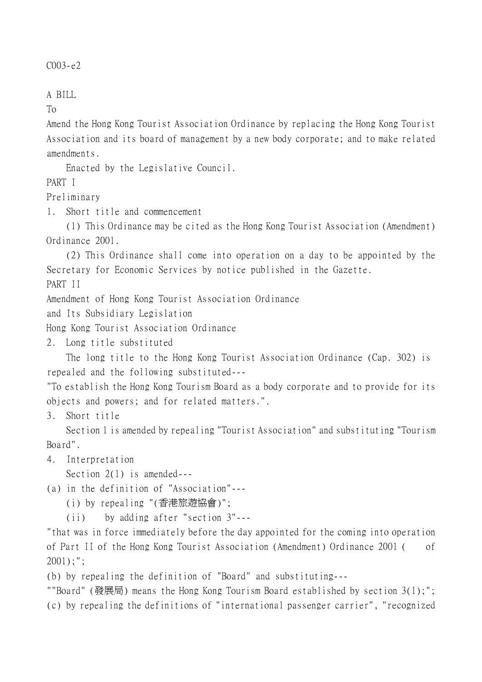$C003 - e2$ 

A BILL

To

Amend the Hong Kong Tourist Association Ordinance by replacing the Hong Kong Tourist Association and its board of management by a new body corporate; and to make related amendments.

Enacted by the Legislative Council.

PART I

Preliminary

1. Short title and commencement

(1) This Ordinance may be cited as the Hong Kong Tourist Association (Amendment) Ordinance 2001.

(2) This Ordinance shall come into operation on a day to be appointed by the Secretary for Economic Services by notice published in the Gazette. PART II

Amendment of Hong Kong Tourist Association Ordinance

and Its Subsidiary Legislation

Hong Kong Tourist Association Ordinance

2. Long title substituted

The long title to the Hong Kong Tourist Association Ordinance (Cap. 302) is repealed and the following substituted---

"To establish the Hong Kong Tourism Board as a body corporate and to provide for its objects and powers; and for related matters.".

3. Short title

Section 1 is amended by repealing "Tourist Association" and substituting "Tourism Board".

4. Interpretation

Section 2(1) is amended---

(a) in the definition of "Association"---

(i) by repealing "(香港旅遊協會)";

(ii) by adding after "section 3"---

"that was in force immediately before the day appointed for the coming into operation of Part II of the Hong Kong Tourist Association (Amendment) Ordinance 2001 ( of 2001);";

(b) by repealing the definition of "Board" and substituting---

""Board" (發展局) means the Hong Kong Tourism Board established by section 3(1);"; (c) by repealing the definitions of "international passenger carrier", "recognized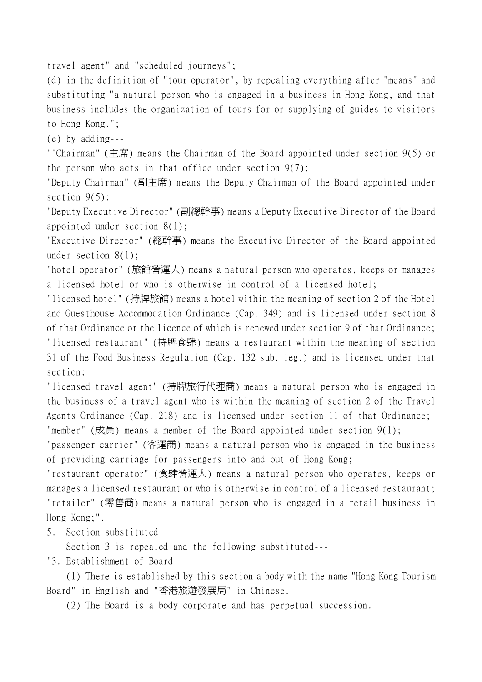travel agent" and "scheduled journeys";

(d) in the definition of "tour operator", by repealing everything after "means" and substituting "a natural person who is engaged in a business in Hong Kong, and that business includes the organization of tours for or supplying of guides to visitors to Hong Kong.";

(e) by adding---

""Chairman" (主席) means the Chairman of the Board appointed under section 9(5) or the person who acts in that office under section 9(7);

"Deputy Chairman" (副主席) means the Deputy Chairman of the Board appointed under section  $9(5)$ ;

"Deputy Executive Director" (副總幹事) means a Deputy Executive Director of the Board appointed under section 8(1);

"Executive Director" (總幹事) means the Executive Director of the Board appointed under section 8(1);

"hotel operator" (旅館營運㆟) means a natural person who operates, keeps or manages a licensed hotel or who is otherwise in control of a licensed hotel;

"licensed hotel" (持牌旅館) means a hotel within the meaning of section 2 of the Hotel and Guesthouse Accommodation Ordinance (Cap. 349) and is licensed under section 8 of that Ordinance or the licence of which is renewed under section 9 of that Ordinance; "licensed restaurant" (持牌食肆) means a restaurant within the meaning of section 31 of the Food Business Regulation (Cap. 132 sub. leg.) and is licensed under that section;

"licensed travel agent" (持牌旅行代理商) means a natural person who is engaged in the business of a travel agent who is within the meaning of section 2 of the Travel Agents Ordinance (Cap. 218) and is licensed under section 11 of that Ordinance; "member" (成員) means a member of the Board appointed under section 9(1);

"passenger carrier" (客運商) means a natural person who is engaged in the business of providing carriage for passengers into and out of Hong Kong;

"restaurant operator" (食肆營運㆟) means a natural person who operates, keeps or manages a licensed restaurant or who is otherwise in control of a licensed restaurant; "retailer" (零售商) means a natural person who is engaged in a retail business in Hong Kong;".

5. Section substituted

Section 3 is repealed and the following substituted---

"3. Establishment of Board

(1) There is established by this section a body with the name "Hong Kong Tourism Board" in English and "香港旅遊發展局" in Chinese.

(2) The Board is a body corporate and has perpetual succession.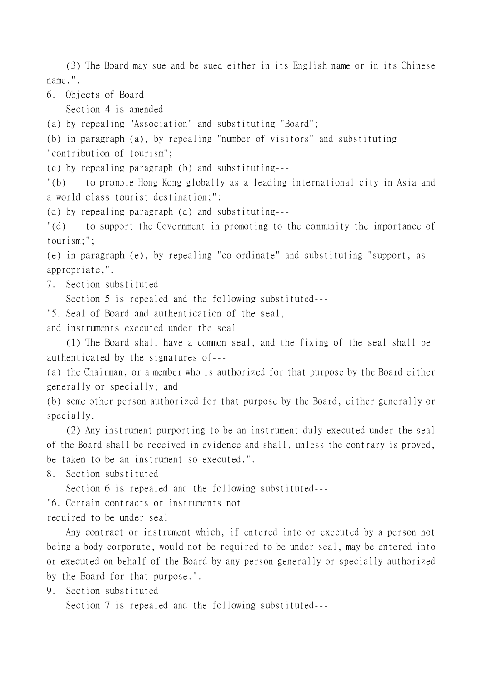(3) The Board may sue and be sued either in its English name or in its Chinese name.".

6. Objects of Board

Section 4 is amended---

(a) by repealing "Association" and substituting "Board";

(b) in paragraph (a), by repealing "number of visitors" and substituting

"contribution of tourism";

(c) by repealing paragraph (b) and substituting---

"(b) to promote Hong Kong globally as a leading international city in Asia and a world class tourist destination;";

(d) by repealing paragraph (d) and substituting---

"(d) to support the Government in promoting to the community the importance of tourism;";

(e) in paragraph (e), by repealing "co-ordinate" and substituting "support, as appropriate,".

7. Section substituted

Section 5 is repealed and the following substituted---

"5. Seal of Board and authentication of the seal,

and instruments executed under the seal

(1) The Board shall have a common seal, and the fixing of the seal shall be authenticated by the signatures of---

(a) the Chairman, or a member who is authorized for that purpose by the Board either generally or specially; and

(b) some other person authorized for that purpose by the Board, either generally or specially.

(2) Any instrument purporting to be an instrument duly executed under the seal of the Board shall be received in evidence and shall, unless the contrary is proved, be taken to be an instrument so executed.".

8. Section substituted

Section 6 is repealed and the following substituted---

"6. Certain contracts or instruments not

required to be under seal

Any contract or instrument which, if entered into or executed by a person not being a body corporate, would not be required to be under seal, may be entered into or executed on behalf of the Board by any person generally or specially authorized by the Board for that purpose.".

9. Section substituted

Section 7 is repealed and the following substituted---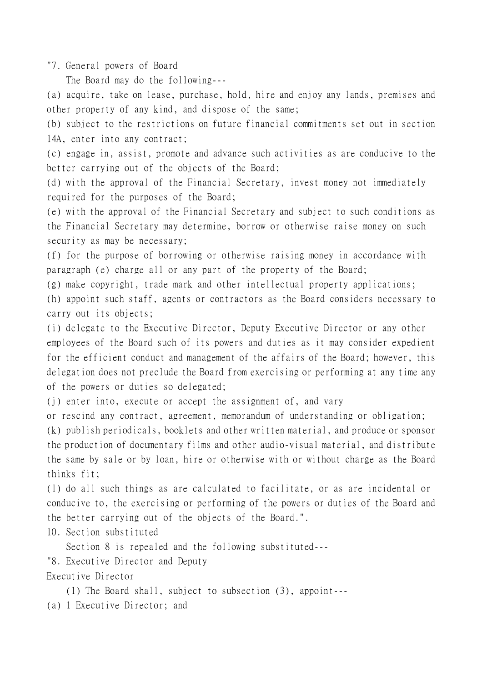"7. General powers of Board

The Board may do the following---

(a) acquire, take on lease, purchase, hold, hire and enjoy any lands, premises and other property of any kind, and dispose of the same;

(b) subject to the restrictions on future financial commitments set out in section 14A, enter into any contract;

(c) engage in, assist, promote and advance such activities as are conducive to the better carrying out of the objects of the Board;

(d) with the approval of the Financial Secretary, invest money not immediately required for the purposes of the Board;

(e) with the approval of the Financial Secretary and subject to such conditions as the Financial Secretary may determine, borrow or otherwise raise money on such security as may be necessary;

(f) for the purpose of borrowing or otherwise raising money in accordance with paragraph (e) charge all or any part of the property of the Board;

(g) make copyright, trade mark and other intellectual property applications;

(h) appoint such staff, agents or contractors as the Board considers necessary to carry out its objects;

(i) delegate to the Executive Director, Deputy Executive Director or any other employees of the Board such of its powers and duties as it may consider expedient for the efficient conduct and management of the affairs of the Board; however, this delegation does not preclude the Board from exercising or performing at any time any of the powers or duties so delegated;

(j) enter into, execute or accept the assignment of, and vary

or rescind any contract, agreement, memorandum of understanding or obligation;

(k) publish periodicals, booklets and other written material, and produce or sponsor the production of documentary films and other audio-visual material, and distribute the same by sale or by loan, hire or otherwise with or without charge as the Board thinks fit;

(l) do all such things as are calculated to facilitate, or as are incidental or conducive to, the exercising or performing of the powers or duties of the Board and the better carrying out of the objects of the Board.".

10. Section substituted

Section 8 is repealed and the following substituted---

"8. Executive Director and Deputy

Executive Director

(1) The Board shall, subject to subsection (3), appoint---

(a) 1 Executive Director; and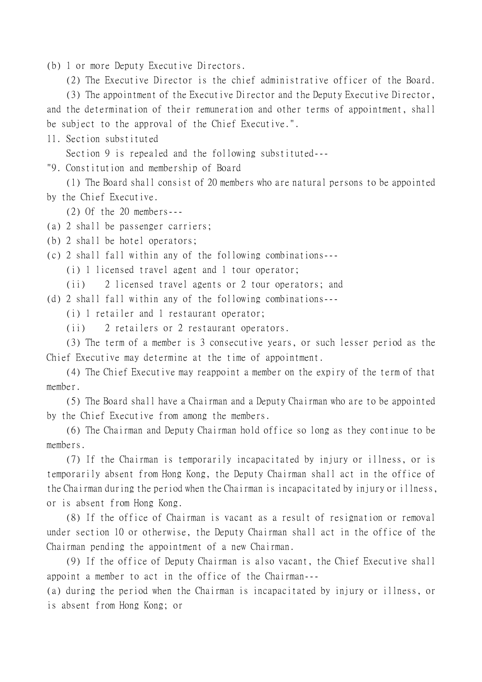(b) 1 or more Deputy Executive Directors.

(2) The Executive Director is the chief administrative officer of the Board.

(3) The appointment of the Executive Director and the Deputy Executive Director, and the determination of their remuneration and other terms of appointment, shall be subject to the approval of the Chief Executive.".

11. Section substituted

Section 9 is repealed and the following substituted---

"9. Constitution and membership of Board

(1) The Board shall consist of 20 members who are natural persons to be appointed by the Chief Executive.

(2) Of the 20 members---

(a) 2 shall be passenger carriers;

(b) 2 shall be hotel operators;

(c) 2 shall fall within any of the following combinations---

(i) 1 licensed travel agent and 1 tour operator;

(ii) 2 licensed travel agents or 2 tour operators; and

(d) 2 shall fall within any of the following combinations---

(i) 1 retailer and 1 restaurant operator;

(ii) 2 retailers or 2 restaurant operators.

(3) The term of a member is 3 consecutive years, or such lesser period as the Chief Executive may determine at the time of appointment.

(4) The Chief Executive may reappoint a member on the expiry of the term of that member.

(5) The Board shall have a Chairman and a Deputy Chairman who are to be appointed by the Chief Executive from among the members.

(6) The Chairman and Deputy Chairman hold office so long as they continue to be members.

(7) If the Chairman is temporarily incapacitated by injury or illness, or is temporarily absent from Hong Kong, the Deputy Chairman shall act in the office of the Chairman during the period when the Chairman is incapacitated by injury or illness, or is absent from Hong Kong.

(8) If the office of Chairman is vacant as a result of resignation or removal under section 10 or otherwise, the Deputy Chairman shall act in the office of the Chairman pending the appointment of a new Chairman.

(9) If the office of Deputy Chairman is also vacant, the Chief Executive shall appoint a member to act in the office of the Chairman---

(a) during the period when the Chairman is incapacitated by injury or illness, or is absent from Hong Kong; or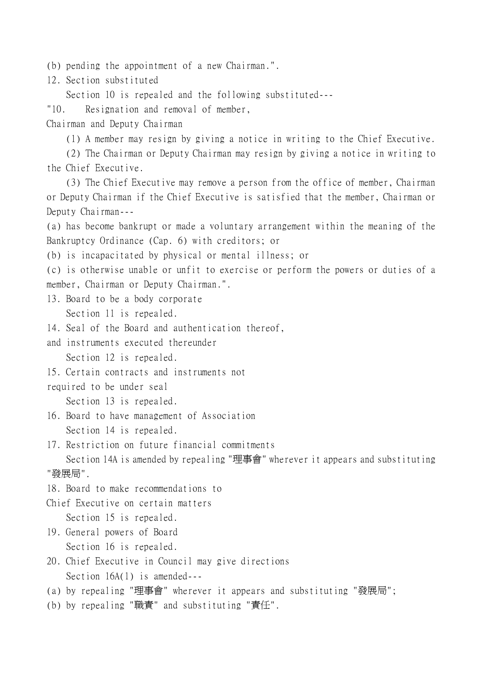(b) pending the appointment of a new Chairman.".

12. Section substituted

Section 10 is repealed and the following substituted---

"10. Resignation and removal of member,

Chairman and Deputy Chairman

(1) A member may resign by giving a notice in writing to the Chief Executive.

(2) The Chairman or Deputy Chairman may resign by giving a notice in writing to the Chief Executive.

(3) The Chief Executive may remove a person from the office of member, Chairman or Deputy Chairman if the Chief Executive is satisfied that the member, Chairman or Deputy Chairman---

(a) has become bankrupt or made a voluntary arrangement within the meaning of the Bankruptcy Ordinance (Cap. 6) with creditors; or

(b) is incapacitated by physical or mental illness; or

(c) is otherwise unable or unfit to exercise or perform the powers or duties of a member, Chairman or Deputy Chairman.".

13. Board to be a body corporate Section 11 is repealed.

14. Seal of the Board and authentication thereof,

and instruments executed thereunder Section 12 is repealed.

15. Certain contracts and instruments not

required to be under seal

Section 13 is repealed.

- 16. Board to have management of Association Section 14 is repealed.
- 17. Restriction on future financial commitments

Section 14A is amended by repealing "理事會" wherever it appears and substituting "發展局".

- 18. Board to make recommendations to
- Chief Executive on certain matters Section 15 is repealed.
- 19. General powers of Board Section 16 is repealed.
- 20. Chief Executive in Council may give directions Section 16A(1) is amended---
- (a) by repealing "理事會" wherever it appears and substituting "發展局";
- (b) by repealing "職責" and substituting "責任".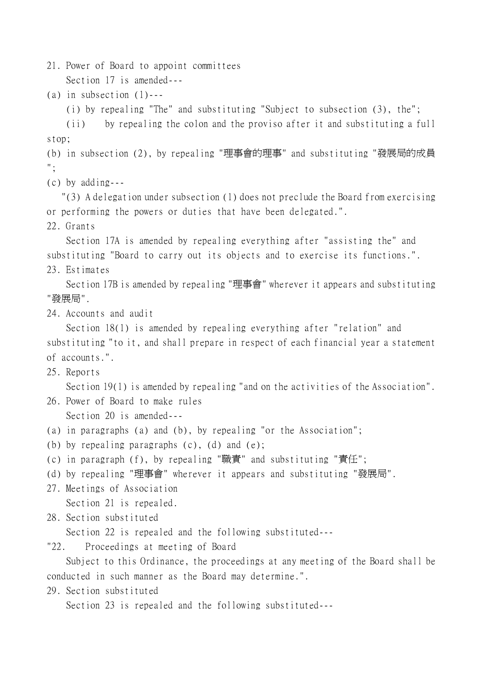21. Power of Board to appoint committees Section 17 is amended---

(a) in subsection  $(1)$ ---

(i) by repealing "The" and substituting "Subject to subsection (3), the";

(ii) by repealing the colon and the proviso after it and substituting a full stop;

(b) in subsection (2), by repealing "理事會的理事" and substituting "發展局的成員 ";

(c) by adding---

 "(3) A delegation under subsection (1) does not preclude the Board from exercising or performing the powers or duties that have been delegated.".

22. Grants

Section 17A is amended by repealing everything after "assisting the" and substituting "Board to carry out its objects and to exercise its functions.".

23. Estimates

Section 17B is amended by repealing "理事會" wherever it appears and substituting "發展局".

24. Accounts and audit

Section 18(1) is amended by repealing everything after "relation" and substituting "to it, and shall prepare in respect of each financial year a statement of accounts.".

25. Reports

Section 19(1) is amended by repealing "and on the activities of the Association".

- 26. Power of Board to make rules Section 20 is amended---
- (a) in paragraphs (a) and (b), by repealing "or the Association";
- (b) by repealing paragraphs (c), (d) and (e);
- (c) in paragraph (f), by repealing "職責" and substituting "責任";
- (d) by repealing "理事會" wherever it appears and substituting "發展局".
- 27. Meetings of Association Section 21 is repealed.

28. Section substituted

Section 22 is repealed and the following substituted---

"22. Proceedings at meeting of Board

Subject to this Ordinance, the proceedings at any meeting of the Board shall be conducted in such manner as the Board may determine.".

29. Section substituted

Section 23 is repealed and the following substituted---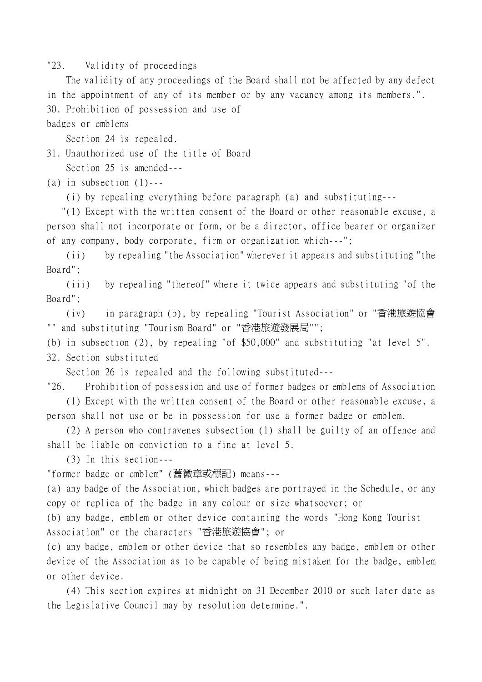"23. Validity of proceedings

The validity of any proceedings of the Board shall not be affected by any defect in the appointment of any of its member or by any vacancy among its members.". 30. Prohibition of possession and use of

badges or emblems

Section 24 is repealed.

31. Unauthorized use of the title of Board Section 25 is amended---

(a) in subsection  $(1)$ ---

(i) by repealing everything before paragraph (a) and substituting---

 "(1) Except with the written consent of the Board or other reasonable excuse, a person shall not incorporate or form, or be a director, office bearer or organizer of any company, body corporate, firm or organization which---";

(ii) by repealing "the Association" wherever it appears and substituting "the Board";

(iii) by repealing "thereof" where it twice appears and substituting "of the Board";

(iv) in paragraph (b), by repealing "Tourist Association" or "香港旅遊協會 "" and substituting "Tourism Board" or "香港旅遊發展局"";

(b) in subsection (2), by repealing "of \$50,000" and substituting "at level 5".

32. Section substituted

Section 26 is repealed and the following substituted---

"26. Prohibition of possession and use of former badges or emblems of Association (1) Except with the written consent of the Board or other reasonable excuse, a person shall not use or be in possession for use a former badge or emblem.

(2) A person who contravenes subsection (1) shall be guilty of an offence and shall be liable on conviction to a fine at level 5.

(3) In this section---

"former badge or emblem" (舊徽章或標記) means---

(a) any badge of the Association, which badges are portrayed in the Schedule, or any copy or replica of the badge in any colour or size whatsoever; or

(b) any badge, emblem or other device containing the words "Hong Kong Tourist Association" or the characters "香港旅遊協會"; or

(c) any badge, emblem or other device that so resembles any badge, emblem or other device of the Association as to be capable of being mistaken for the badge, emblem or other device.

(4) This section expires at midnight on 31 December 2010 or such later date as the Legislative Council may by resolution determine.".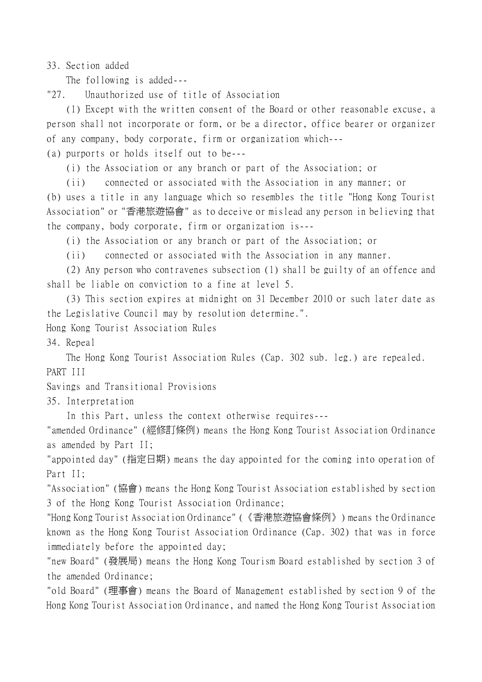33. Section added

The following is added---

"27. Unauthorized use of title of Association

(1) Except with the written consent of the Board or other reasonable excuse, a person shall not incorporate or form, or be a director, office bearer or organizer of any company, body corporate, firm or organization which---

(a) purports or holds itself out to be---

(i) the Association or any branch or part of the Association; or

(ii) connected or associated with the Association in any manner; or

(b) uses a title in any language which so resembles the title "Hong Kong Tourist Association" or "香港旅遊協會" as to deceive or mislead any person in believing that the company, body corporate, firm or organization is---

(i) the Association or any branch or part of the Association; or

(ii) connected or associated with the Association in any manner.

(2) Any person who contravenes subsection (1) shall be guilty of an offence and shall be liable on conviction to a fine at level 5.

(3) This section expires at midnight on 31 December 2010 or such later date as the Legislative Council may by resolution determine.".

Hong Kong Tourist Association Rules

34. Repeal

The Hong Kong Tourist Association Rules (Cap. 302 sub. leg.) are repealed. PART III

Savings and Transitional Provisions

35. Interpretation

In this Part, unless the context otherwise requires---

"amended Ordinance" (經修訂條例) means the Hong Kong Tourist Association Ordinance as amended by Part II;

"appointed day" (指定日期) means the day appointed for the coming into operation of Part II;

"Association" (協會) means the Hong Kong Tourist Association established by section 3 of the Hong Kong Tourist Association Ordinance;

"Hong Kong Tourist Association Ordinance" (《香港旅遊協會條例》) means the Ordinance known as the Hong Kong Tourist Association Ordinance (Cap. 302) that was in force immediately before the appointed day;

"new Board" (發展局) means the Hong Kong Tourism Board established by section 3 of the amended Ordinance;

"old Board" (理事會) means the Board of Management established by section 9 of the Hong Kong Tourist Association Ordinance, and named the Hong Kong Tourist Association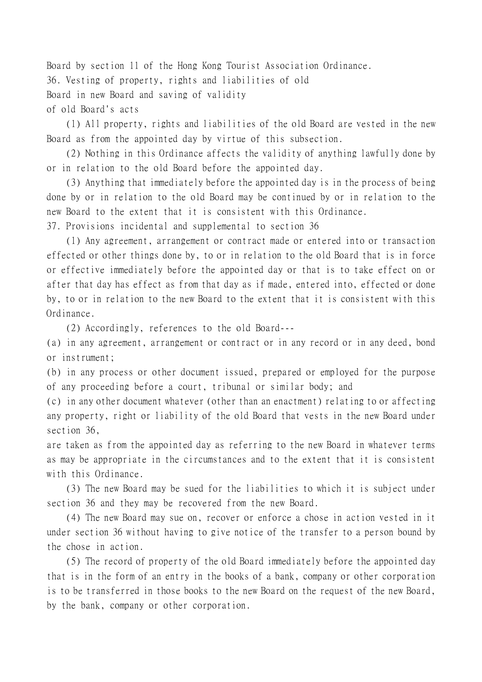Board by section 11 of the Hong Kong Tourist Association Ordinance. 36. Vesting of property, rights and liabilities of old Board in new Board and saving of validity of old Board's acts

(1) All property, rights and liabilities of the old Board are vested in the new Board as from the appointed day by virtue of this subsection.

(2) Nothing in this Ordinance affects the validity of anything lawfully done by or in relation to the old Board before the appointed day.

(3) Anything that immediately before the appointed day is in the process of being done by or in relation to the old Board may be continued by or in relation to the new Board to the extent that it is consistent with this Ordinance.

37. Provisions incidental and supplemental to section 36

(1) Any agreement, arrangement or contract made or entered into or transaction effected or other things done by, to or in relation to the old Board that is in force or effective immediately before the appointed day or that is to take effect on or after that day has effect as from that day as if made, entered into, effected or done by, to or in relation to the new Board to the extent that it is consistent with this Ordinance.

(2) Accordingly, references to the old Board---

(a) in any agreement, arrangement or contract or in any record or in any deed, bond or instrument;

(b) in any process or other document issued, prepared or employed for the purpose of any proceeding before a court, tribunal or similar body; and

(c) in any other document whatever (other than an enactment) relating to or affecting any property, right or liability of the old Board that vests in the new Board under section 36,

are taken as from the appointed day as referring to the new Board in whatever terms as may be appropriate in the circumstances and to the extent that it is consistent with this Ordinance.

(3) The new Board may be sued for the liabilities to which it is subject under section 36 and they may be recovered from the new Board.

(4) The new Board may sue on, recover or enforce a chose in action vested in it under section 36 without having to give notice of the transfer to a person bound by the chose in action.

(5) The record of property of the old Board immediately before the appointed day that is in the form of an entry in the books of a bank, company or other corporation is to be transferred in those books to the new Board on the request of the new Board, by the bank, company or other corporation.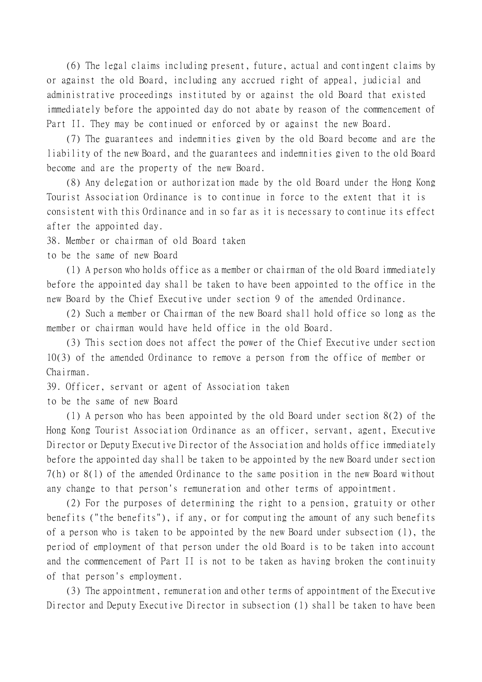(6) The legal claims including present, future, actual and contingent claims by or against the old Board, including any accrued right of appeal, judicial and administrative proceedings instituted by or against the old Board that existed immediately before the appointed day do not abate by reason of the commencement of Part II. They may be continued or enforced by or against the new Board.

(7) The guarantees and indemnities given by the old Board become and are the liability of the new Board, and the guarantees and indemnities given to the old Board become and are the property of the new Board.

(8) Any delegation or authorization made by the old Board under the Hong Kong Tourist Association Ordinance is to continue in force to the extent that it is consistent with this Ordinance and in so far as it is necessary to continue its effect after the appointed day.

38. Member or chairman of old Board taken

to be the same of new Board

(1) A person who holds office as a member or chairman of the old Board immediately before the appointed day shall be taken to have been appointed to the office in the new Board by the Chief Executive under section 9 of the amended Ordinance.

(2) Such a member or Chairman of the new Board shall hold office so long as the member or chairman would have held office in the old Board.

(3) This section does not affect the power of the Chief Executive under section 10(3) of the amended Ordinance to remove a person from the office of member or Chairman.

39. Officer, servant or agent of Association taken

to be the same of new Board

(1) A person who has been appointed by the old Board under section 8(2) of the Hong Kong Tourist Association Ordinance as an officer, servant, agent, Executive Director or Deputy Executive Director of the Association and holds office immediately before the appointed day shall be taken to be appointed by the new Board under section 7(h) or 8(1) of the amended Ordinance to the same position in the new Board without any change to that person's remuneration and other terms of appointment.

(2) For the purposes of determining the right to a pension, gratuity or other benefits ("the benefits"), if any, or for computing the amount of any such benefits of a person who is taken to be appointed by the new Board under subsection (1), the period of employment of that person under the old Board is to be taken into account and the commencement of Part II is not to be taken as having broken the continuity of that person's employment.

(3) The appointment, remuneration and other terms of appointment of the Executive Director and Deputy Executive Director in subsection (1) shall be taken to have been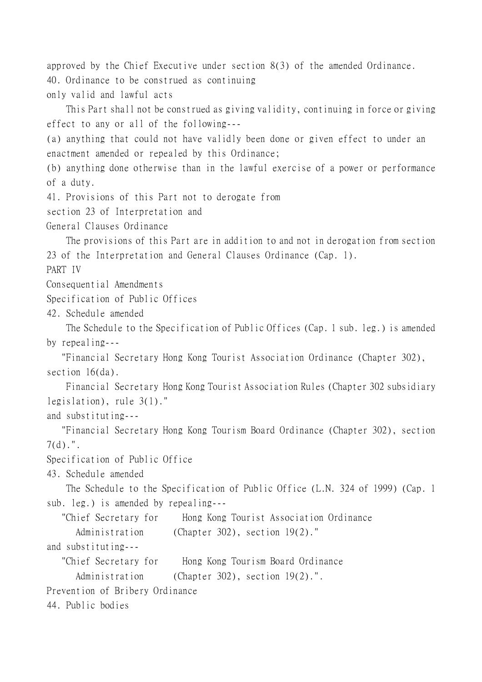approved by the Chief Executive under section 8(3) of the amended Ordinance. 40. Ordinance to be construed as continuing only valid and lawful acts

This Part shall not be construed as giving validity, continuing in force or giving effect to any or all of the following---

(a) anything that could not have validly been done or given effect to under an enactment amended or repealed by this Ordinance;

(b) anything done otherwise than in the lawful exercise of a power or performance of a duty.

41. Provisions of this Part not to derogate from

section 23 of Interpretation and

General Clauses Ordinance

The provisions of this Part are in addition to and not in derogation from section 23 of the Interpretation and General Clauses Ordinance (Cap. 1).

PART IV

Consequential Amendments

Specification of Public Offices

42. Schedule amended

The Schedule to the Specification of Public Offices (Cap. 1 sub. leg.) is amended by repealing---

 "Financial Secretary Hong Kong Tourist Association Ordinance (Chapter 302), section 16(da).

Financial Secretary Hong Kong Tourist Association Rules (Chapter 302 subsidiary legislation), rule 3(1)."

and substituting---

 "Financial Secretary Hong Kong Tourism Board Ordinance (Chapter 302), section 7(d).".

Specification of Public Office

43. Schedule amended

The Schedule to the Specification of Public Office (L.N. 324 of 1999) (Cap. 1 sub. leg.) is amended by repealing---

"Chief Secretary for Hong Kong Tourist Association Ordinance

Administration (Chapter 302), section 19(2)."

and substituting---

"Chief Secretary for Hong Kong Tourism Board Ordinance

Administration (Chapter 302), section 19(2).".

Prevention of Bribery Ordinance

44. Public bodies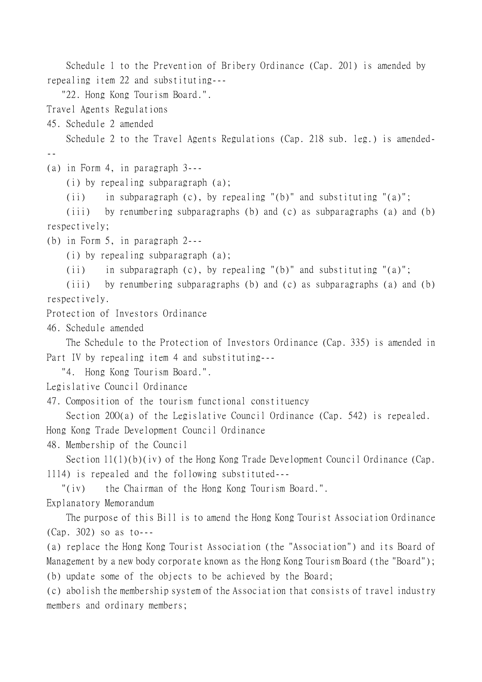Schedule 1 to the Prevention of Bribery Ordinance (Cap. 201) is amended by repealing item 22 and substituting---

"22. Hong Kong Tourism Board.".

Travel Agents Regulations

45. Schedule 2 amended

Schedule 2 to the Travel Agents Regulations (Cap. 218 sub. leg.) is amended- --

(a) in Form 4, in paragraph 3---

(i) by repealing subparagraph (a);

(ii) in subparagraph (c), by repealing "(b)" and substituting " $(a)$ ";

(iii) by renumbering subparagraphs (b) and (c) as subparagraphs (a) and (b) respectively;

(b) in Form 5, in paragraph 2---

(i) by repealing subparagraph (a);

(ii) in subparagraph (c), by repealing "(b)" and substituting " $(a)$ ";

(iii) by renumbering subparagraphs (b) and (c) as subparagraphs (a) and (b) respectively.

Protection of Investors Ordinance

46. Schedule amended

The Schedule to the Protection of Investors Ordinance (Cap. 335) is amended in Part IV by repealing item 4 and substituting---

"4. Hong Kong Tourism Board.".

Legislative Council Ordinance

47. Composition of the tourism functional constituency

Section 200(a) of the Legislative Council Ordinance (Cap. 542) is repealed. Hong Kong Trade Development Council Ordinance

48. Membership of the Council

Section 11(1)(b)(iv) of the Hong Kong Trade Development Council Ordinance (Cap. 1114) is repealed and the following substituted---

"(iv) the Chairman of the Hong Kong Tourism Board.".

Explanatory Memorandum

The purpose of this Bill is to amend the Hong Kong Tourist Association Ordinance (Cap. 302) so as to---

(a) replace the Hong Kong Tourist Association (the "Association") and its Board of Management by a new body corporate known as the Hong Kong Tourism Board (the "Board"); (b) update some of the objects to be achieved by the Board;

(c) abolish the membership system of the Association that consists of travel industry members and ordinary members;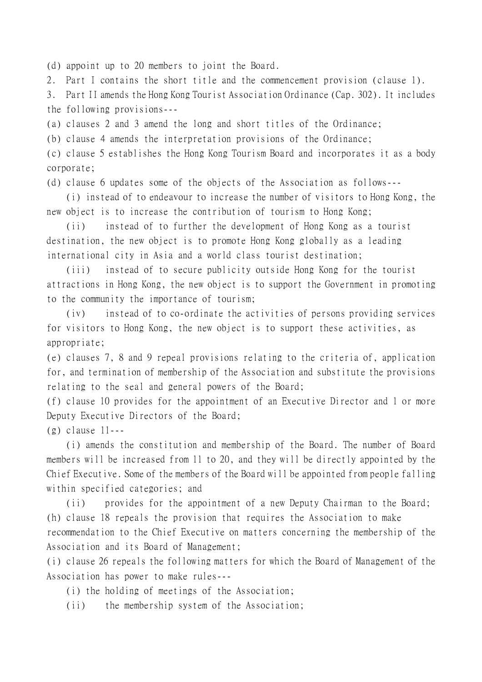(d) appoint up to 20 members to joint the Board.

2. Part I contains the short title and the commencement provision (clause 1).

3. Part II amends the Hong Kong Tourist Association Ordinance (Cap. 302). It includes the following provisions---

(a) clauses 2 and 3 amend the long and short titles of the Ordinance;

(b) clause 4 amends the interpretation provisions of the Ordinance;

(c) clause 5 establishes the Hong Kong Tourism Board and incorporates it as a body corporate;

(d) clause 6 updates some of the objects of the Association as follows---

(i) instead of to endeavour to increase the number of visitors to Hong Kong, the new object is to increase the contribution of tourism to Hong Kong;

(ii) instead of to further the development of Hong Kong as a tourist destination, the new object is to promote Hong Kong globally as a leading international city in Asia and a world class tourist destination;

(iii) instead of to secure publicity outside Hong Kong for the tourist attractions in Hong Kong, the new object is to support the Government in promoting to the community the importance of tourism;

(iv) instead of to co-ordinate the activities of persons providing services for visitors to Hong Kong, the new object is to support these activities, as appropriate;

(e) clauses 7, 8 and 9 repeal provisions relating to the criteria of, application for, and termination of membership of the Association and substitute the provisions relating to the seal and general powers of the Board;

(f) clause 10 provides for the appointment of an Executive Director and 1 or more Deputy Executive Directors of the Board;

(g) clause 11---

(i) amends the constitution and membership of the Board. The number of Board members will be increased from 11 to 20, and they will be directly appointed by the Chief Executive. Some of the members of the Board will be appointed from people falling within specified categories; and

(ii) provides for the appointment of a new Deputy Chairman to the Board; (h) clause 18 repeals the provision that requires the Association to make recommendation to the Chief Executive on matters concerning the membership of the Association and its Board of Management;

(i) clause 26 repeals the following matters for which the Board of Management of the Association has power to make rules---

- (i) the holding of meetings of the Association;
- (ii) the membership system of the Association;